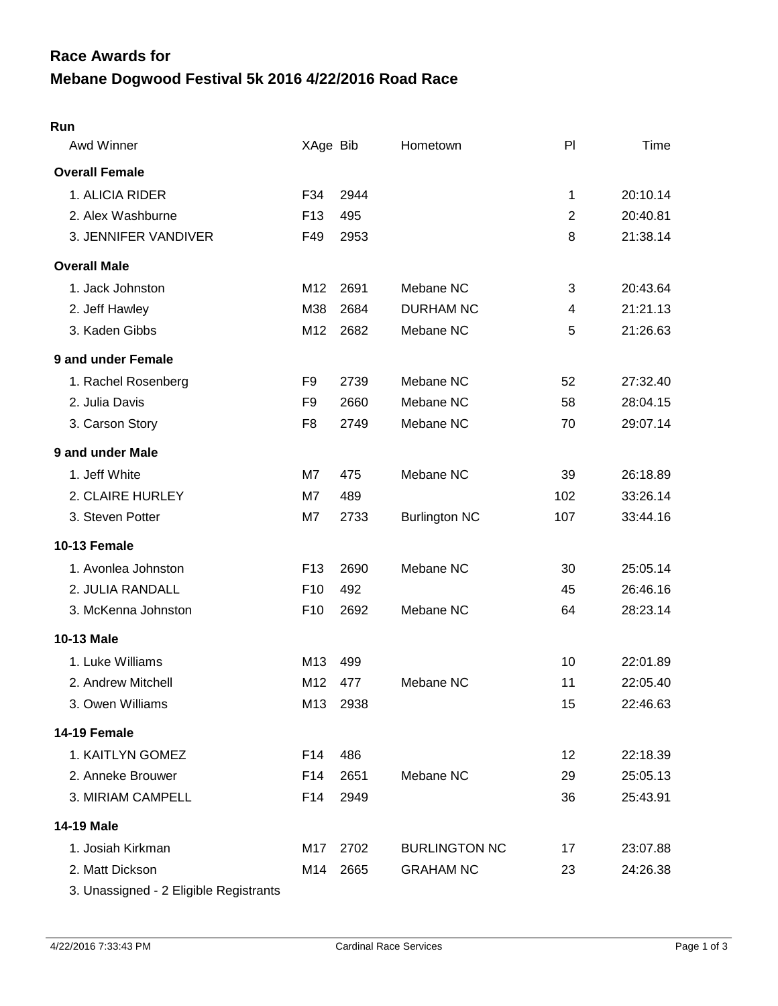## **Mebane Dogwood Festival 5k 2016 4/22/2016 Road Race Race Awards for**

## **Run**

| Awd Winner                             | XAge Bib        |      | Hometown             | P              | Time     |
|----------------------------------------|-----------------|------|----------------------|----------------|----------|
| <b>Overall Female</b>                  |                 |      |                      |                |          |
| 1. ALICIA RIDER                        | F34             | 2944 |                      | 1              | 20:10.14 |
| 2. Alex Washburne                      | F <sub>13</sub> | 495  |                      | $\overline{2}$ | 20:40.81 |
| 3. JENNIFER VANDIVER                   | F49             | 2953 |                      | 8              | 21:38.14 |
| <b>Overall Male</b>                    |                 |      |                      |                |          |
| 1. Jack Johnston                       | M12             | 2691 | Mebane NC            | 3              | 20:43.64 |
| 2. Jeff Hawley                         | M38             | 2684 | <b>DURHAM NC</b>     | 4              | 21:21.13 |
| 3. Kaden Gibbs                         | M12             | 2682 | Mebane NC            | 5              | 21:26.63 |
| 9 and under Female                     |                 |      |                      |                |          |
| 1. Rachel Rosenberg                    | F9              | 2739 | Mebane NC            | 52             | 27:32.40 |
| 2. Julia Davis                         | F9              | 2660 | Mebane NC            | 58             | 28:04.15 |
| 3. Carson Story                        | F8              | 2749 | Mebane NC            | 70             | 29:07.14 |
| 9 and under Male                       |                 |      |                      |                |          |
| 1. Jeff White                          | M7              | 475  | Mebane NC            | 39             | 26:18.89 |
| 2. CLAIRE HURLEY                       | M7              | 489  |                      | 102            | 33:26.14 |
| 3. Steven Potter                       | M7              | 2733 | <b>Burlington NC</b> | 107            | 33:44.16 |
| 10-13 Female                           |                 |      |                      |                |          |
| 1. Avonlea Johnston                    | F <sub>13</sub> | 2690 | Mebane NC            | 30             | 25:05.14 |
| 2. JULIA RANDALL                       | F <sub>10</sub> | 492  |                      | 45             | 26:46.16 |
| 3. McKenna Johnston                    | F <sub>10</sub> | 2692 | Mebane NC            | 64             | 28:23.14 |
| 10-13 Male                             |                 |      |                      |                |          |
| 1. Luke Williams                       | M13             | 499  |                      | 10             | 22:01.89 |
| 2. Andrew Mitchell                     | M12             | 477  | Mebane NC            | 11             | 22:05.40 |
| 3. Owen Williams                       | M13             | 2938 |                      | 15             | 22:46.63 |
| 14-19 Female                           |                 |      |                      |                |          |
| 1. KAITLYN GOMEZ                       | F14             | 486  |                      | 12             | 22:18.39 |
| 2. Anneke Brouwer                      | F14             | 2651 | Mebane NC            | 29             | 25:05.13 |
| 3. MIRIAM CAMPELL                      | F14             | 2949 |                      | 36             | 25:43.91 |
| 14-19 Male                             |                 |      |                      |                |          |
| 1. Josiah Kirkman                      | M17             | 2702 | <b>BURLINGTON NC</b> | 17             | 23:07.88 |
| 2. Matt Dickson                        | M14             | 2665 | <b>GRAHAM NC</b>     | 23             | 24:26.38 |
| 3. Unassigned - 2 Eligible Registrants |                 |      |                      |                |          |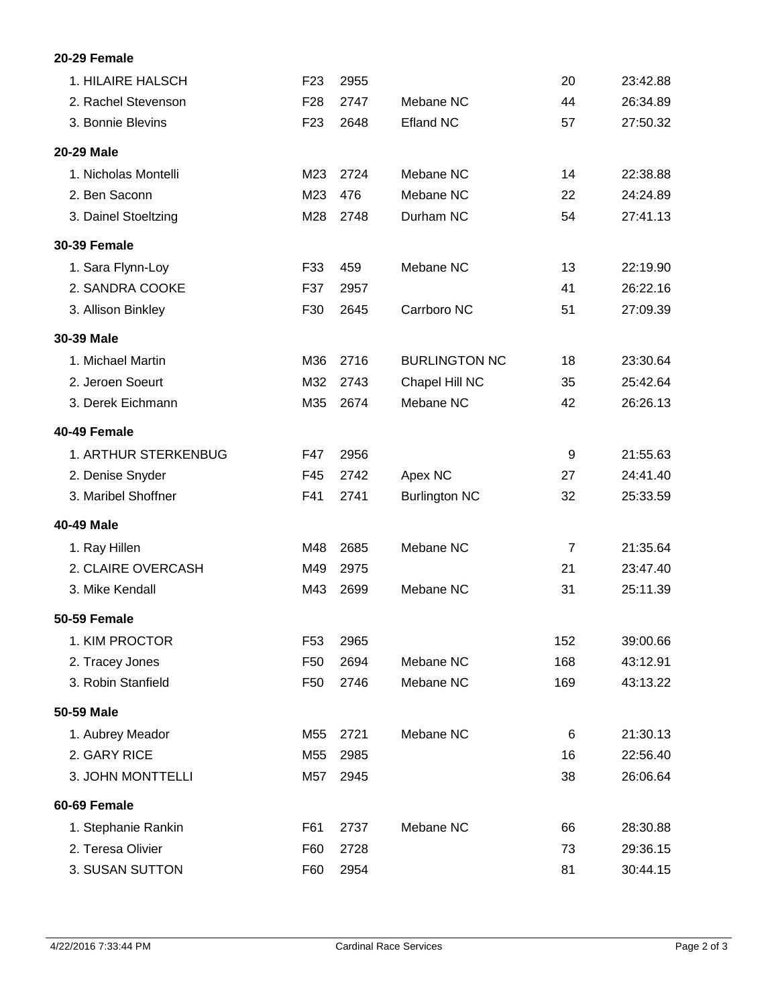## **20-29 Female**

| 1. HILAIRE HALSCH    | F <sub>23</sub> | 2955 |                      | 20             | 23:42.88 |
|----------------------|-----------------|------|----------------------|----------------|----------|
| 2. Rachel Stevenson  | F <sub>28</sub> | 2747 | Mebane NC            | 44             | 26:34.89 |
| 3. Bonnie Blevins    | F <sub>23</sub> | 2648 | <b>Efland NC</b>     | 57             | 27:50.32 |
| 20-29 Male           |                 |      |                      |                |          |
| 1. Nicholas Montelli | M23             | 2724 | Mebane NC            | 14             | 22:38.88 |
| 2. Ben Saconn        | M23             | 476  | Mebane NC            | 22             | 24:24.89 |
| 3. Dainel Stoeltzing | M28             | 2748 | Durham NC            | 54             | 27:41.13 |
| <b>30-39 Female</b>  |                 |      |                      |                |          |
| 1. Sara Flynn-Loy    | F33             | 459  | Mebane NC            | 13             | 22:19.90 |
| 2. SANDRA COOKE      | F37             | 2957 |                      | 41             | 26:22.16 |
| 3. Allison Binkley   | F30             | 2645 | Carrboro NC          | 51             | 27:09.39 |
| 30-39 Male           |                 |      |                      |                |          |
| 1. Michael Martin    | M36             | 2716 | <b>BURLINGTON NC</b> | 18             | 23:30.64 |
| 2. Jeroen Soeurt     | M32             | 2743 | Chapel Hill NC       | 35             | 25:42.64 |
| 3. Derek Eichmann    | M35             | 2674 | Mebane NC            | 42             | 26:26.13 |
| 40-49 Female         |                 |      |                      |                |          |
| 1. ARTHUR STERKENBUG | F47             | 2956 |                      | 9              | 21:55.63 |
| 2. Denise Snyder     | F45             | 2742 | Apex NC              | 27             | 24:41.40 |
| 3. Maribel Shoffner  | F41             | 2741 | <b>Burlington NC</b> | 32             | 25:33.59 |
| 40-49 Male           |                 |      |                      |                |          |
| 1. Ray Hillen        | M48             | 2685 | Mebane NC            | $\overline{7}$ | 21:35.64 |
| 2. CLAIRE OVERCASH   | M49             | 2975 |                      | 21             | 23:47.40 |
| 3. Mike Kendall      | M43             | 2699 | Mebane NC            | 31             | 25:11.39 |
| <b>50-59 Female</b>  |                 |      |                      |                |          |
| 1. KIM PROCTOR       | F <sub>53</sub> | 2965 |                      | 152            | 39:00.66 |
| 2. Tracey Jones      | F <sub>50</sub> | 2694 | Mebane NC            | 168            | 43:12.91 |
| 3. Robin Stanfield   | F <sub>50</sub> | 2746 | Mebane NC            | 169            | 43:13.22 |
| 50-59 Male           |                 |      |                      |                |          |
| 1. Aubrey Meador     | M55             | 2721 | Mebane NC            | 6              | 21:30.13 |
| 2. GARY RICE         | M55             | 2985 |                      | 16             | 22:56.40 |
| 3. JOHN MONTTELLI    | M57             | 2945 |                      | 38             | 26:06.64 |
| 60-69 Female         |                 |      |                      |                |          |
| 1. Stephanie Rankin  | F61             | 2737 | Mebane NC            | 66             | 28:30.88 |
| 2. Teresa Olivier    | F60             | 2728 |                      | 73             | 29:36.15 |
| 3. SUSAN SUTTON      | F60             | 2954 |                      | 81             | 30:44.15 |